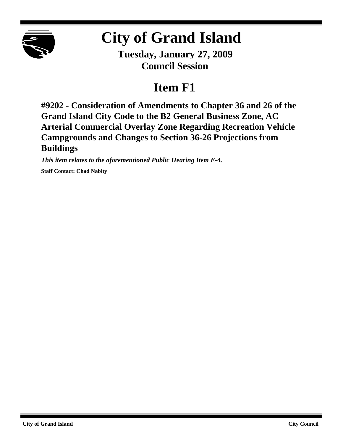

# **City of Grand Island**

**Tuesday, January 27, 2009 Council Session**

# **Item F1**

**#9202 - Consideration of Amendments to Chapter 36 and 26 of the Grand Island City Code to the B2 General Business Zone, AC Arterial Commercial Overlay Zone Regarding Recreation Vehicle Campgrounds and Changes to Section 36-26 Projections from Buildings**

*This item relates to the aforementioned Public Hearing Item E-4.*

**Staff Contact: Chad Nabity**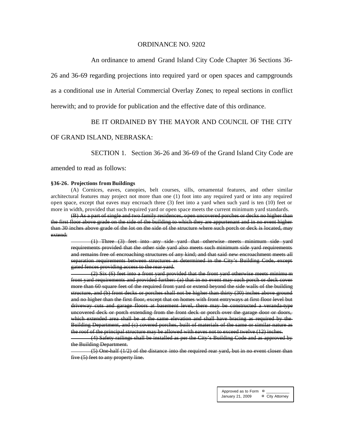#### ORDINANCE NO. 9202

An ordinance to amend Grand Island City Code Chapter 36 Sections 36-

26 and 36-69 regarding projections into required yard or open spaces and campgrounds

as a conditional use in Arterial Commercial Overlay Zones; to repeal sections in conflict

herewith; and to provide for publication and the effective date of this ordinance.

### BE IT ORDAINED BY THE MAYOR AND COUNCIL OF THE CITY

#### OF GRAND ISLAND, NEBRASKA:

SECTION 1. Section 36-26 and 36-69 of the Grand Island City Code are

amended to read as follows:

#### **§36-26. Projections from Buildings**

(A) Cornices, eaves, canopies, belt courses, sills, ornamental features, and other similar architectural features may project not more than one (1) foot into any required yard or into any required open space, except that eaves may encroach three (3) feet into a yard when such yard is ten (10) feet or more in width, provided that such required yard or open space meets the current minimum yard standards.

(B) As a part of single and two family residences, open uncovered porches or decks no higher than the first floor above grade on the side of the building to which they are appurtenant and in no event higher than 30 inches above grade of the lot on the side of the structure where such porch or deck is located, may extend:

(1) Three (3) feet into any side yard that otherwise meets minimum side yard requirements provided that the other side yard also meets such minimum side yard requirements and remains free of encroaching structures of any kind; and that said new encroachment meets all separation requirements between structures as determined in the City's Building Code, except gated fences providing access to the rear yard.

(2) Six (6) feet into a front yard provided that the front yard otherwise meets minimu m front yard requirements and provided further: (a) that in no event may such porch or deck cover more than 60 square feet of the required front yard or extend beyond the side walls of the building structure, and (b) front decks or porches shall not be higher than thirty (30) inches above ground and no higher than the first floor, except that on homes with front entryways at first floor level but driveway cuts and garage floors at basement level, there may be constructed a veranda-type uncovered deck or porch extending from the front deck or porch over the garage door or doors, which extended area shall be at the same elevation and shall have bracing as required by the Building Department, and (c) covered porches, built of materials of the same or similar nature as the roof of the principal structure may be allowed with eaves not to exceed twelve (12) inches.

(4) Safety railings shall be installed as per the City's Building Code and as approved by the Building Department.

(5) One-half (1/2) of the distance into the required rear yard, but in no event closer than five (5) feet to any property line.

> Approved as to Form  $\overline{\mathbf{a}}$ January 21, 2009 ¤ City Attorney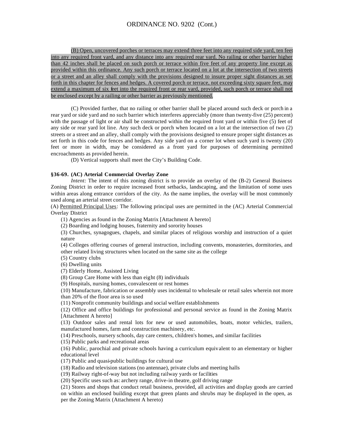(B) Open, uncovered porches or terraces may extend three feet into any required side yard, ten feet into any required front yard, and any distance into any required rear yard. No railing or other barrier higher than 42 inches shall be placed on such porch or terrace within five feet of any property line except as provided within this ordinance. Any such porch or terrace located on a lot at the intersection of two streets or a street and an alley shall comply with the provisions designed to insure proper sight distances as set forth in this chapter for fences and hedges. A covered porch or terrace, not exceeding sixty square feet, may extend a maximum of six feet into the required front or rear yard, provided, such porch or terrace shall not be enclosed except by a railing or other barrier as previously mentioned.

(C) Provided further, that no railing or other barrier shall be placed around such deck or porch in a rear yard or side yard and no such barrier which interferes appreciably (more than twenty-five (25) percent) with the passage of light or air shall be constructed within the required front vard or within five (5) feet of any side or rear yard lot line. Any such deck or porch when located on a lot at the intersection of two (2) streets or a street and an alley, shall comply with the provisions designed to ensure proper sight distances as set forth in this code for fences and hedges. Any side yard on a corner lot when such yard is twenty (20) feet or more in width, may be considered as a front yard for purposes of determining permitted encroachments as provided herein.

(D) Vertical supports shall meet the City's Building Code.

#### **§36-69. (AC) Arterial Commercial Overlay Zone**

*Intent:* The intent of this zoning district is to provide an overlay of the (B-2) General Business Zoning District in order to require increased front setbacks, landscaping, and the limitation of some uses within areas along entrance corridors of the city. As the name implies, the overlay will be most commonly used along an arterial street corridor.

(A) Permitted Principal Uses: The following principal uses are permitted in the (AC) Arterial Commercial Overlay District

(1) Agencies as found in the Zoning Matrix [Attachment A hereto]

(2) Boarding and lodging houses, fraternity and sorority houses

(3) Churches, synagogues, chapels, and similar places of religious worship and instruction of a quiet nature

(4) Colleges offering courses of general instruction, including convents, monasteries, dormitories, and other related living structures when located on the same site as the college

(5) Country clubs

(6) Dwelling units

(7) Elderly Home, Assisted Living

(8) Group Care Home with less than eight (8) individuals

(9) Hospitals, nursing homes, convalescent or rest homes

(10) Manufacture, fabrication or assembly uses incidental to wholesale or retail sales wherein not more than 20% of the floor area is so used

(11) Nonprofit community buildings and social welfare establishments

(12) Office and office buildings for professional and personal service as found in the Zoning Matrix [Attachment A hereto]

(13) Outdoor sales and rental lots for new or used automobiles, boats, motor vehicles, trailers, manufactured homes, farm and construction machinery, etc.

(14) Preschools, nursery schools, day care centers, children's homes, and similar facilities

(15) Public parks and recreational areas

(16) Public, parochial and private schools having a curriculum equivalent to an elementary or higher educational level

(17) Public and quasi-public buildings for cultural use

(18) Radio and television stations (no antennae), private clubs and meeting halls

(19) Railway right-of-way but not including railway yards or facilities

(20) Specific uses such as: archery range, drive-in theatre, golf driving range

(21) Stores and shops that conduct retail business, provided, all activities and display goods are carried on within an enclosed building except that green plants and shrubs may be displayed in the open, as per the Zoning Matrix (Attachment A hereto)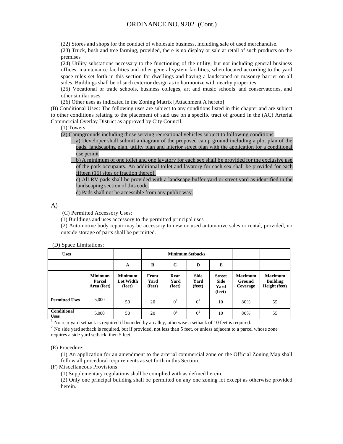(22) Stores and shops for the conduct of wholesale business, including sale of used merchandise.

(23) Truck, bush and tree farming, provided, there is no display or sale at retail of such products on the premises

(24) Utility substations necessary to the functioning of the utility, but not including general business offices, maintenance facilities and other general system facilities, when located according to the yard space rules set forth in this section for dwellings and having a landscaped or masonry barrier on all sides. Buildings shall be of such exterior design as to harmonize with nearby properties

(25) Vocational or trade schools, business colleges, art and music schools and conservatories, and other similar uses

(26) Other uses as indicated in the Zoning Matrix [Attachment A hereto]

(B) Conditional Uses: The following uses are subject to any conditions listed in this chapter and are subject to other conditions relating to the placement of said use on a specific tract of ground in the (AC) Arterial Commercial Overlay District as approved by City Council.

(1) Towers

(2) Campgrounds including those serving recreational vehicles subject to following conditions:

a) Developer shall submit a diagram of the proposed camp ground including a plot plan of the pads, landscaping plan, utility plan and interior street plan with the application for a conditional use permit

b) A minimum of one toilet and one lavatory for each sex shall be provided for the exclusive use of the park occupants. An additional toilet and lavatory for each sex shall be provided for each fifteen (15) sites or fraction thereof.

c) All RV pads shall be provided with a landscape buffer yard or street yard as identified in the landscaping section of this code.

d) Pads shall not be accessible from any public way.

A)

(C) Permitted Accessory Uses:

(1) Buildings and uses accessory to the permitted principal uses

(2) Automotive body repair may be accessory to new or used automotive sales or rental, provided, no outside storage of parts shall be permitted.

(D) Space Limitations:

| <b>Uses</b>                       |                                         |                                       | <b>Minimum Setbacks</b> |                        |                               |                                                |                                      |                                                           |
|-----------------------------------|-----------------------------------------|---------------------------------------|-------------------------|------------------------|-------------------------------|------------------------------------------------|--------------------------------------|-----------------------------------------------------------|
|                                   |                                         | A                                     | B                       | $\mathbf C$            | D                             | E                                              |                                      |                                                           |
|                                   | <b>Minimum</b><br>Parcel<br>Area (feet) | <b>Minimum</b><br>Lot Width<br>(feet) | Front<br>Yard<br>(feet) | Rear<br>Yard<br>(feet) | <b>Side</b><br>Yard<br>(feet) | <b>Street</b><br><b>Side</b><br>Yard<br>(feet) | <b>Maximum</b><br>Ground<br>Coverage | <b>Maximum</b><br><b>Building</b><br><b>Height</b> (feet) |
| <b>Permitted Uses</b>             | 5,000                                   | 50                                    | 20                      | 0 <sup>1</sup>         | 0 <sup>2</sup>                | 10                                             | 80%                                  | 55                                                        |
| <b>Conditional</b><br><b>Uses</b> | 5,000                                   | 50                                    | 20                      | 0 <sup>1</sup>         | 0 <sup>2</sup>                | 10                                             | 80%                                  | 55                                                        |

 $<sup>1</sup>$  No rear yard setback is required if bounded by an alley, otherwise a setback of 10 feet is required.</sup>

 $2$  No side yard setback is required, but if provided, not less than 5 feet, or unless adjacent to a parcel whose zone requires a side yard setback, then 5 feet.

(E) Procedure:

(1) An application for an amendment to the arterial commercial zone on the Official Zoning Map shall follow all procedural requirements as set forth in this Section.

(F) Miscellaneous Provisions:

(1) Supplementary regulations shall be complied with as defined herein.

(2) Only one principal building shall be permitted on any one zoning lot except as otherwise provided herein.